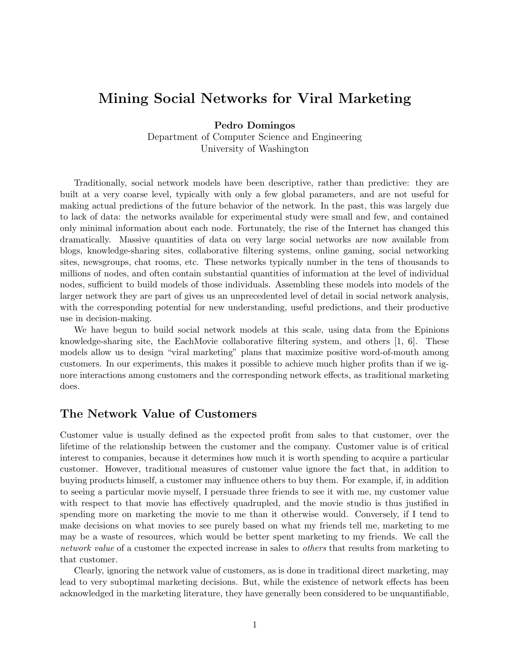# Mining Social Networks for Viral Marketing

Pedro Domingos Department of Computer Science and Engineering University of Washington

Traditionally, social network models have been descriptive, rather than predictive: they are built at a very coarse level, typically with only a few global parameters, and are not useful for making actual predictions of the future behavior of the network. In the past, this was largely due to lack of data: the networks available for experimental study were small and few, and contained only minimal information about each node. Fortunately, the rise of the Internet has changed this dramatically. Massive quantities of data on very large social networks are now available from blogs, knowledge-sharing sites, collaborative filtering systems, online gaming, social networking sites, newsgroups, chat rooms, etc. These networks typically number in the tens of thousands to millions of nodes, and often contain substantial quantities of information at the level of individual nodes, sufficient to build models of those individuals. Assembling these models into models of the larger network they are part of gives us an unprecedented level of detail in social network analysis, with the corresponding potential for new understanding, useful predictions, and their productive use in decision-making.

We have begun to build social network models at this scale, using data from the Epinions knowledge-sharing site, the EachMovie collaborative filtering system, and others  $[1, 6]$ . These models allow us to design "viral marketing" plans that maximize positive word-of-mouth among customers. In our experiments, this makes it possible to achieve much higher profits than if we ignore interactions among customers and the corresponding network effects, as traditional marketing does.

### The Network Value of Customers

Customer value is usually defined as the expected profit from sales to that customer, over the lifetime of the relationship between the customer and the company. Customer value is of critical interest to companies, because it determines how much it is worth spending to acquire a particular customer. However, traditional measures of customer value ignore the fact that, in addition to buying products himself, a customer may influence others to buy them. For example, if, in addition to seeing a particular movie myself, I persuade three friends to see it with me, my customer value with respect to that movie has effectively quadrupled, and the movie studio is thus justified in spending more on marketing the movie to me than it otherwise would. Conversely, if I tend to make decisions on what movies to see purely based on what my friends tell me, marketing to me may be a waste of resources, which would be better spent marketing to my friends. We call the network value of a customer the expected increase in sales to *others* that results from marketing to that customer.

Clearly, ignoring the network value of customers, as is done in traditional direct marketing, may lead to very suboptimal marketing decisions. But, while the existence of network effects has been acknowledged in the marketing literature, they have generally been considered to be unquantifiable,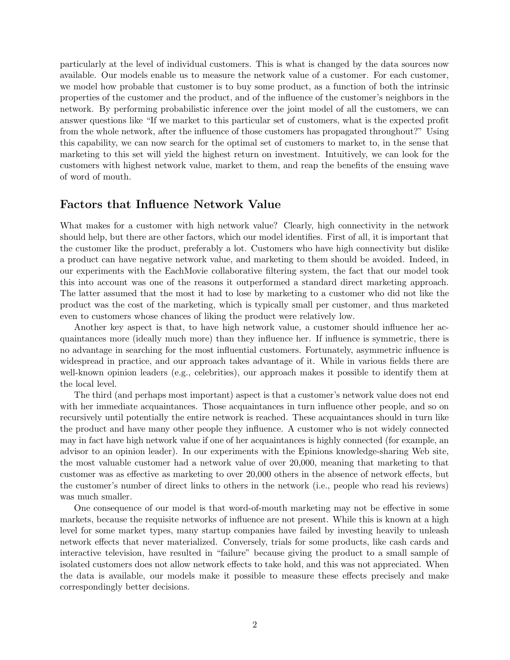particularly at the level of individual customers. This is what is changed by the data sources now available. Our models enable us to measure the network value of a customer. For each customer, we model how probable that customer is to buy some product, as a function of both the intrinsic properties of the customer and the product, and of the influence of the customer's neighbors in the network. By performing probabilistic inference over the joint model of all the customers, we can answer questions like "If we market to this particular set of customers, what is the expected profit from the whole network, after the influence of those customers has propagated throughout?" Using this capability, we can now search for the optimal set of customers to market to, in the sense that marketing to this set will yield the highest return on investment. Intuitively, we can look for the customers with highest network value, market to them, and reap the benefits of the ensuing wave of word of mouth.

### Factors that Influence Network Value

What makes for a customer with high network value? Clearly, high connectivity in the network should help, but there are other factors, which our model identifies. First of all, it is important that the customer like the product, preferably a lot. Customers who have high connectivity but dislike a product can have negative network value, and marketing to them should be avoided. Indeed, in our experiments with the EachMovie collaborative filtering system, the fact that our model took this into account was one of the reasons it outperformed a standard direct marketing approach. The latter assumed that the most it had to lose by marketing to a customer who did not like the product was the cost of the marketing, which is typically small per customer, and thus marketed even to customers whose chances of liking the product were relatively low.

Another key aspect is that, to have high network value, a customer should influence her acquaintances more (ideally much more) than they influence her. If influence is symmetric, there is no advantage in searching for the most influential customers. Fortunately, asymmetric influence is widespread in practice, and our approach takes advantage of it. While in various fields there are well-known opinion leaders (e.g., celebrities), our approach makes it possible to identify them at the local level.

The third (and perhaps most important) aspect is that a customer's network value does not end with her immediate acquaintances. Those acquaintances in turn influence other people, and so on recursively until potentially the entire network is reached. These acquaintances should in turn like the product and have many other people they influence. A customer who is not widely connected may in fact have high network value if one of her acquaintances is highly connected (for example, an advisor to an opinion leader). In our experiments with the Epinions knowledge-sharing Web site, the most valuable customer had a network value of over 20,000, meaning that marketing to that customer was as effective as marketing to over 20,000 others in the absence of network effects, but the customer's number of direct links to others in the network (i.e., people who read his reviews) was much smaller.

One consequence of our model is that word-of-mouth marketing may not be effective in some markets, because the requisite networks of influence are not present. While this is known at a high level for some market types, many startup companies have failed by investing heavily to unleash network effects that never materialized. Conversely, trials for some products, like cash cards and interactive television, have resulted in "failure" because giving the product to a small sample of isolated customers does not allow network effects to take hold, and this was not appreciated. When the data is available, our models make it possible to measure these effects precisely and make correspondingly better decisions.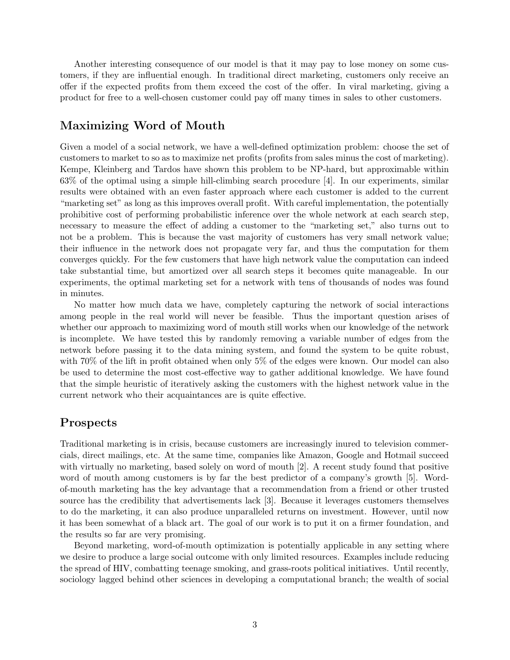Another interesting consequence of our model is that it may pay to lose money on some customers, if they are influential enough. In traditional direct marketing, customers only receive an offer if the expected profits from them exceed the cost of the offer. In viral marketing, giving a product for free to a well-chosen customer could pay off many times in sales to other customers.

## Maximizing Word of Mouth

Given a model of a social network, we have a well-defined optimization problem: choose the set of customers to market to so as to maximize net profits (profits from sales minus the cost of marketing). Kempe, Kleinberg and Tardos have shown this problem to be NP-hard, but approximable within 63% of the optimal using a simple hill-climbing search procedure [4]. In our experiments, similar results were obtained with an even faster approach where each customer is added to the current "marketing set" as long as this improves overall profit. With careful implementation, the potentially prohibitive cost of performing probabilistic inference over the whole network at each search step, necessary to measure the effect of adding a customer to the "marketing set," also turns out to not be a problem. This is because the vast majority of customers has very small network value; their influence in the network does not propagate very far, and thus the computation for them converges quickly. For the few customers that have high network value the computation can indeed take substantial time, but amortized over all search steps it becomes quite manageable. In our experiments, the optimal marketing set for a network with tens of thousands of nodes was found in minutes.

No matter how much data we have, completely capturing the network of social interactions among people in the real world will never be feasible. Thus the important question arises of whether our approach to maximizing word of mouth still works when our knowledge of the network is incomplete. We have tested this by randomly removing a variable number of edges from the network before passing it to the data mining system, and found the system to be quite robust, with 70% of the lift in profit obtained when only 5% of the edges were known. Our model can also be used to determine the most cost-effective way to gather additional knowledge. We have found that the simple heuristic of iteratively asking the customers with the highest network value in the current network who their acquaintances are is quite effective.

### Prospects

Traditional marketing is in crisis, because customers are increasingly inured to television commercials, direct mailings, etc. At the same time, companies like Amazon, Google and Hotmail succeed with virtually no marketing, based solely on word of mouth [2]. A recent study found that positive word of mouth among customers is by far the best predictor of a company's growth [5]. Wordof-mouth marketing has the key advantage that a recommendation from a friend or other trusted source has the credibility that advertisements lack [3]. Because it leverages customers themselves to do the marketing, it can also produce unparalleled returns on investment. However, until now it has been somewhat of a black art. The goal of our work is to put it on a firmer foundation, and the results so far are very promising.

Beyond marketing, word-of-mouth optimization is potentially applicable in any setting where we desire to produce a large social outcome with only limited resources. Examples include reducing the spread of HIV, combatting teenage smoking, and grass-roots political initiatives. Until recently, sociology lagged behind other sciences in developing a computational branch; the wealth of social